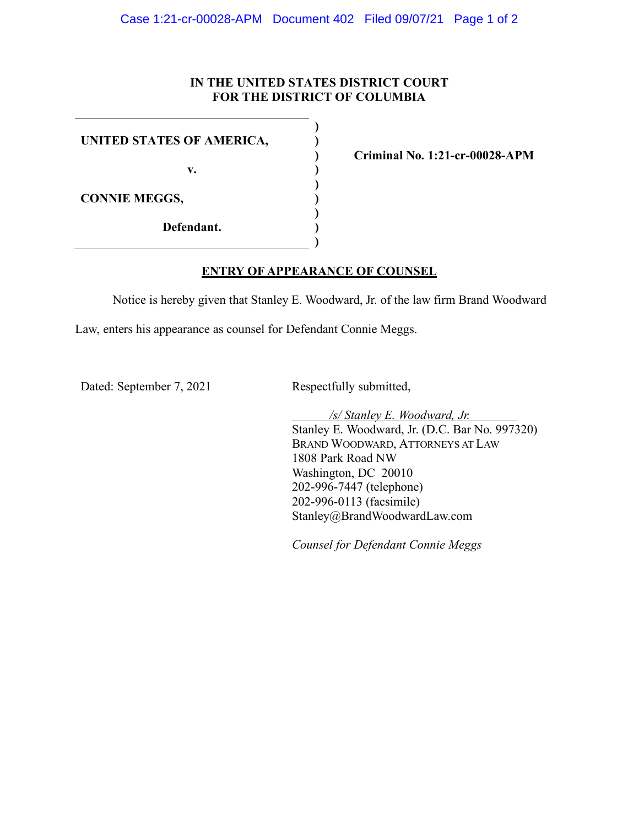## **IN THE UNITED STATES DISTRICT COURT FOR THE DISTRICT OF COLUMBIA**

**) ) ) ) ) ) ) ) )**

|  |  |  | UNITED STATES OF AMERICA, |
|--|--|--|---------------------------|
|--|--|--|---------------------------|

**v.**

**CONNIE MEGGS,**

**Defendant.**

**Criminal No. 1:21-cr-00028-APM**

## **ENTRY OF APPEARANCE OF COUNSEL**

Notice is hereby given that Stanley E. Woodward, Jr. of the law firm Brand Woodward

Law, enters his appearance as counsel for Defendant Connie Meggs.

Dated: September 7, 2021 Respectfully submitted,

*/s/ Stanley E. Woodward, Jr.* Stanley E. Woodward, Jr. (D.C. Bar No. 997320) BRAND WOODWARD, ATTORNEYS AT LAW 1808 Park Road NW Washington, DC 20010 202-996-7447 (telephone) 202-996-0113 (facsimile) Stanley@BrandWoodwardLaw.com

*Counsel for Defendant Connie Meggs*